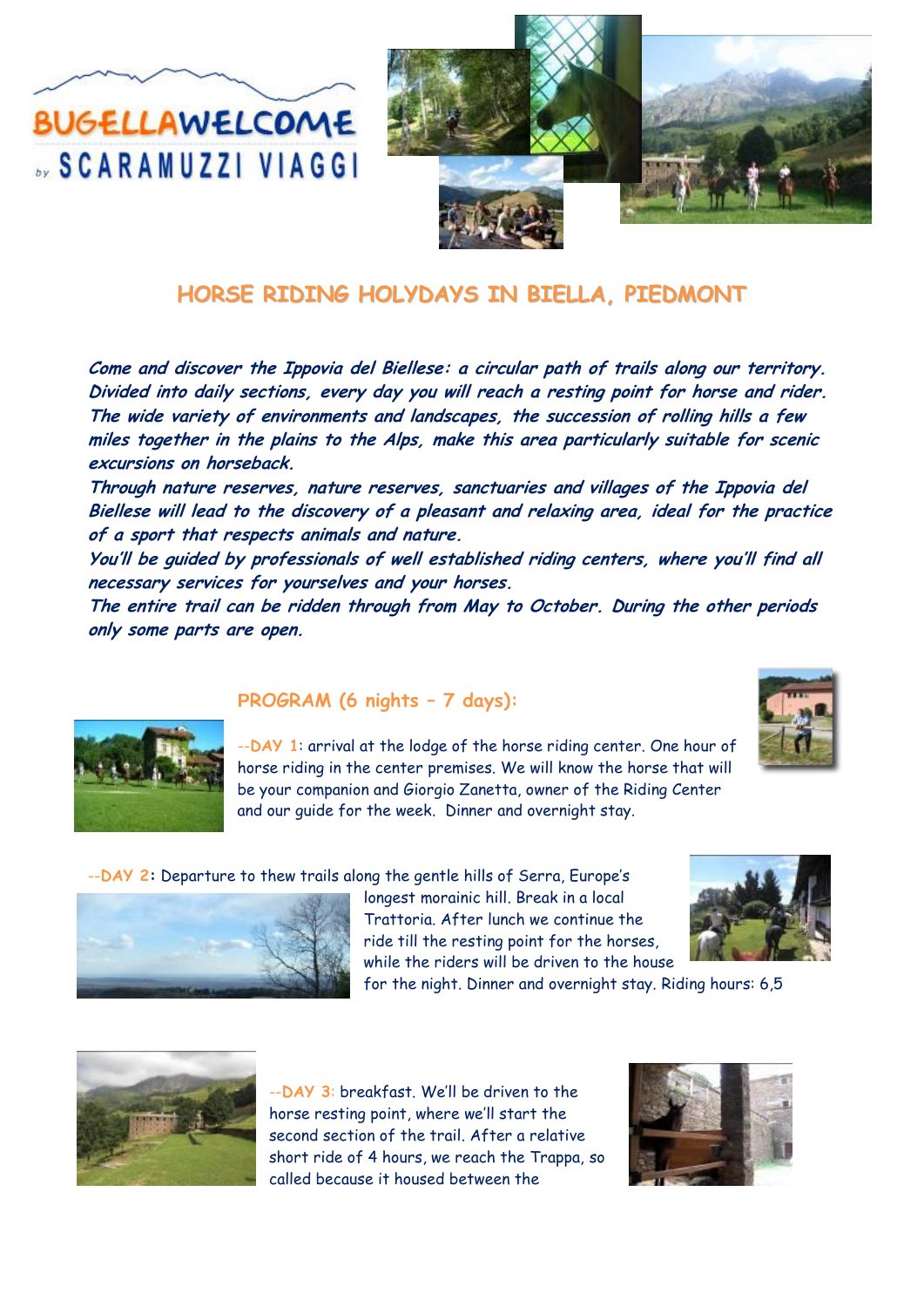**BUGELLAWELCOME SCARAMUZZI VIAGGI** 



# **HORSE RIDING HOLYDAYS IN BIELLA, PIEDMONT**

**Come and discover the Ippovia del Biellese: a circular path of trails along our territory. Divided into daily sections, every day you will reach a resting point for horse and rider. The wide variety of environments and landscapes, the succession of rolling hills a few miles together in the plains to the Alps, make this area particularly suitable for scenic excursions on horseback.**

**Through nature reserves, nature reserves, sanctuaries and villages of the Ippovia del Biellese will lead to the discovery of a pleasant and relaxing area, ideal for the practice of a sport that respects animals and nature.** 

**You'll be guided by professionals of well established riding centers, where you'll find all necessary services for yourselves and your horses.**

**The entire trail can be ridden through from May to October. During the other periods only some parts are open.**



#### **PROGRAM (6 nights – 7 days):**



--**DAY 1**: arrival at the lodge of the horse riding center. One hour of horse riding in the center premises. We will know the horse that will be your companion and Giorgio Zanetta, owner of the Riding Center and our guide for the week. Dinner and overnight stay.

--**DAY 2:** Departure to thew trails along the gentle hills of Serra, Europe's



longest morainic hill. Break in a local Trattoria. After lunch we continue the ride till the resting point for the horses, while the riders will be driven to the house

for the night. Dinner and overnight stay. Riding hours: 6,5



--**DAY 3**: breakfast. We'll be driven to the horse resting point, where we'll start the second section of the trail. After a relative short ride of 4 hours, we reach the Trappa, so called because it housed between the

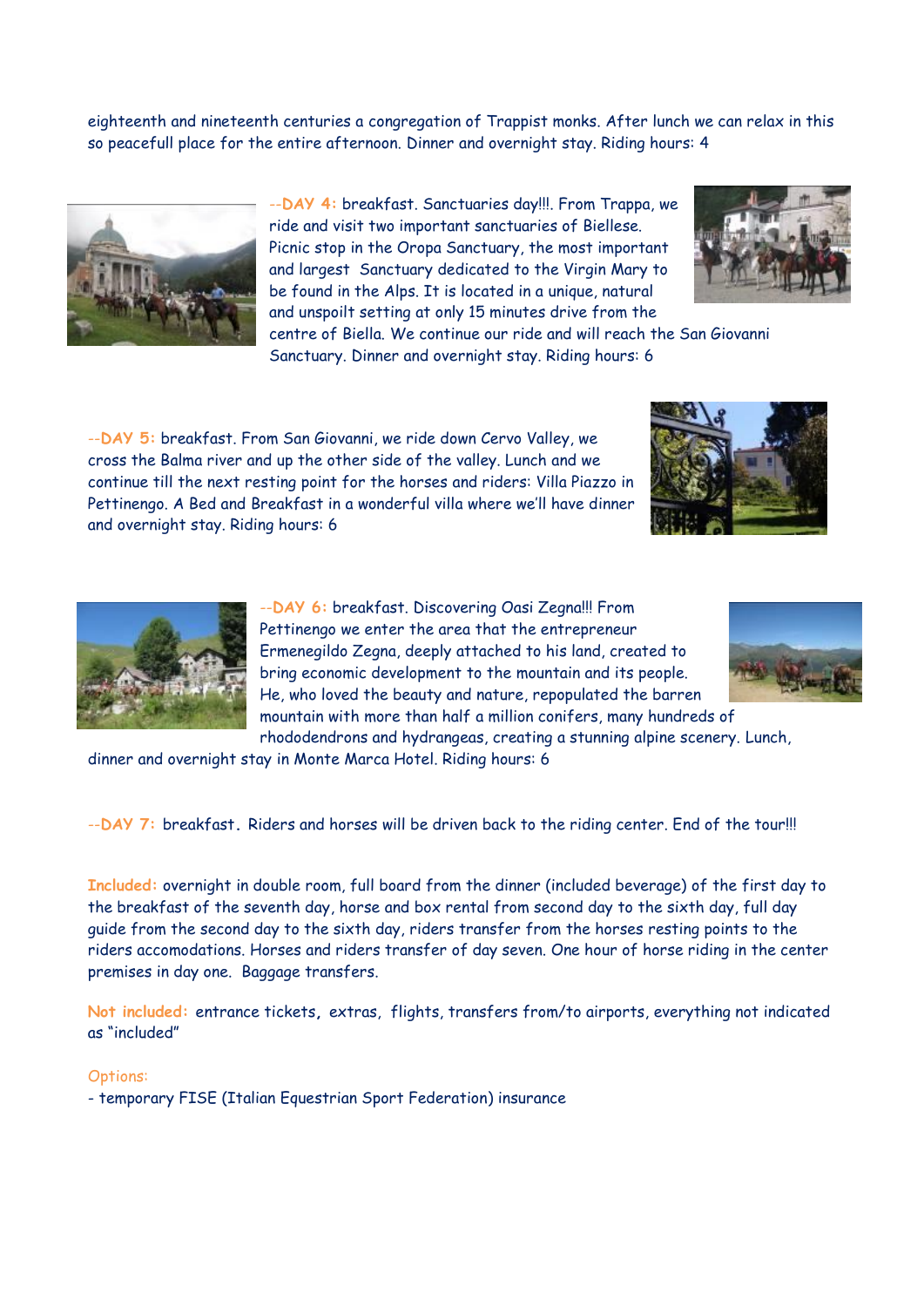eighteenth and nineteenth centuries a congregation of Trappist monks. After lunch we can relax in this so peacefull place for the entire afternoon. Dinner and overnight stay. Riding hours: 4



--**DAY 4:** breakfast. Sanctuaries day!!!. From Trappa, we ride and visit two important sanctuaries of Biellese. Picnic stop in the Oropa Sanctuary, the most important and largest Sanctuary dedicated to the Virgin Mary to be found in the Alps. It is located in a unique, natural and unspoilt setting at only 15 minutes drive from the



centre of Biella. We continue our ride and will reach the San Giovanni Sanctuary. Dinner and overnight stay. Riding hours: 6

--**DAY 5:** breakfast. From San Giovanni, we ride down Cervo Valley, we cross the Balma river and up the other side of the valley. Lunch and we continue till the next resting point for the horses and riders: Villa Piazzo in Pettinengo. A Bed and Breakfast in a wonderful villa where we'll have dinner and overnight stay. Riding hours: 6





--**DAY 6:** breakfast. Discovering Oasi Zegna!!! From Pettinengo we enter the area that the entrepreneur Ermenegildo Zegna, deeply attached to his land, created to bring economic development to the mountain and its people. He, who loved the beauty and nature, repopulated the barren mountain with more than half a million conifers, many hundreds of rhododendrons and hydrangeas, creating a stunning alpine scenery. Lunch,



dinner and overnight stay in Monte Marca Hotel. Riding hours: 6

--**DAY 7:** breakfast**.** Riders and horses will be driven back to the riding center. End of the tour!!!

**Included:** overnight in double room, full board from the dinner (included beverage) of the first day to the breakfast of the seventh day, horse and box rental from second day to the sixth day, full day guide from the second day to the sixth day, riders transfer from the horses resting points to the riders accomodations. Horses and riders transfer of day seven. One hour of horse riding in the center premises in day one. Baggage transfers.

**Not included:** entrance tickets**,** extras, flights, transfers from/to airports, everything not indicated as "included"

#### Options:

- temporary FISE (Italian Equestrian Sport Federation) insurance